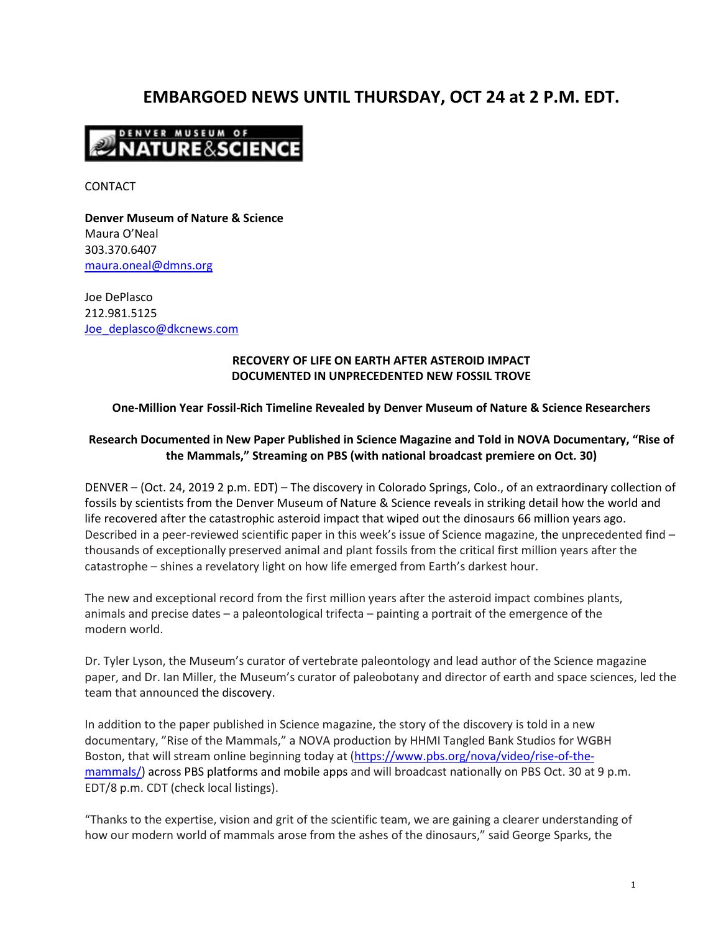# **EMBARGOED NEWS UNTIL THURSDAY, OCT 24 at 2 P.M. EDT.**



CONTACT

**Denver Museum of Nature & Science** Maura O'Neal 303.370.6407 [maura.oneal@dmns.org](mailto:maura.oneal@dmns.org)

Joe DePlasco 212.981.5125 [Joe\\_deplasco@dkcnews.com](mailto:Joe_deplasco@dkcnews.com)

#### **RECOVERY OF LIFE ON EARTH AFTER ASTEROID IMPACT DOCUMENTED IN UNPRECEDENTED NEW FOSSIL TROVE**

### **One-Million Year Fossil-Rich Timeline Revealed by Denver Museum of Nature & Science Researchers**

## **Research Documented in New Paper Published in Science Magazine and Told in NOVA Documentary, "Rise of the Mammals," Streaming on PBS (with national broadcast premiere on Oct. 30)**

DENVER – (Oct. 24, 2019 2 p.m. EDT) – The discovery in Colorado Springs, Colo., of an extraordinary collection of fossils by scientists from the Denver Museum of Nature & Science reveals in striking detail how the world and life recovered after the catastrophic asteroid impact that wiped out the dinosaurs 66 million years ago. Described in a peer-reviewed scientific paper in this week's issue of Science magazine, the unprecedented find – thousands of exceptionally preserved animal and plant fossils from the critical first million years after the catastrophe – shines a revelatory light on how life emerged from Earth's darkest hour.

The new and exceptional record from the first million years after the asteroid impact combines plants, animals and precise dates – a paleontological trifecta – painting a portrait of the emergence of the modern world.

Dr. Tyler Lyson, the Museum's curator of vertebrate paleontology and lead author of the Science magazine paper, and Dr. Ian Miller, the Museum's curator of paleobotany and director of earth and space sciences, led the team that announced the discovery.

In addition to the paper published in Science magazine, the story of the discovery is told in a new documentary, "Rise of the Mammals," a NOVA production by HHMI Tangled Bank Studios for WGBH Boston, that will stream online beginning today at [\(https://www.pbs.org/nova/video/rise-of-the](https://www.pbs.org/nova/video/rise-of-the-mammals/)[mammals/\)](https://www.pbs.org/nova/video/rise-of-the-mammals/) across PBS platforms and mobile apps and will broadcast nationally on PBS Oct. 30 at 9 p.m. EDT/8 p.m. CDT (check local listings).

"Thanks to the expertise, vision and grit of the scientific team, we are gaining a clearer understanding of how our modern world of mammals arose from the ashes of the dinosaurs," said George Sparks, the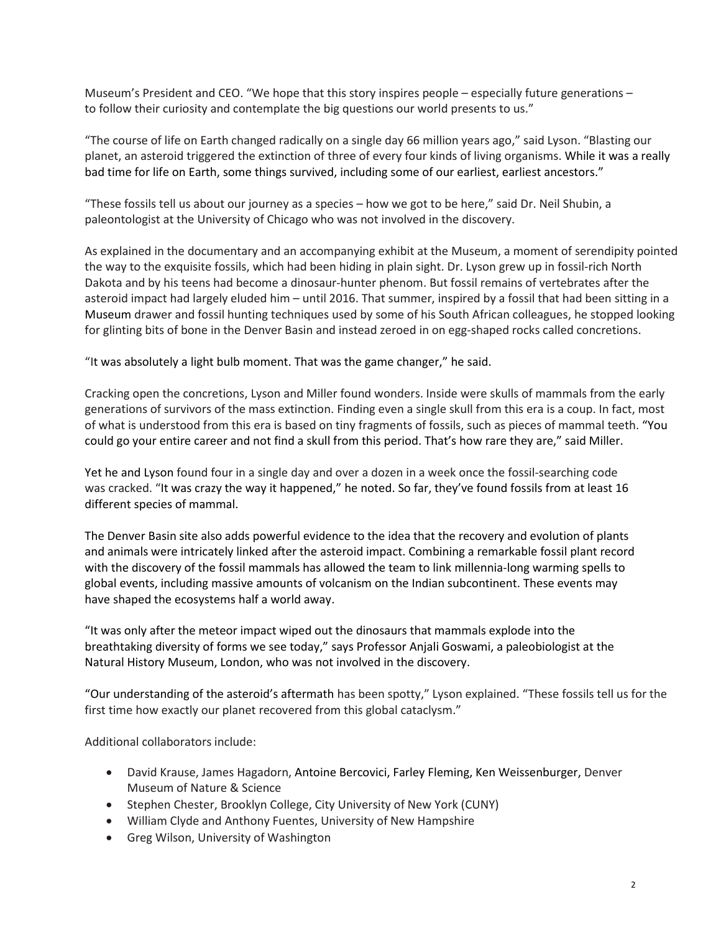Museum's President and CEO. "We hope that this story inspires people – especially future generations – to follow their curiosity and contemplate the big questions our world presents to us."

"The course of life on Earth changed radically on a single day 66 million years ago," said Lyson. "Blasting our planet, an asteroid triggered the extinction of three of every four kinds of living organisms. While it was a really bad time for life on Earth, some things survived, including some of our earliest, earliest ancestors."

"These fossils tell us about our journey as a species – how we got to be here," said Dr. Neil Shubin, a paleontologist at the University of Chicago who was not involved in the discovery.

As explained in the documentary and an accompanying exhibit at the Museum, a moment of serendipity pointed the way to the exquisite fossils, which had been hiding in plain sight. Dr. Lyson grew up in fossil-rich North Dakota and by his teens had become a dinosaur-hunter phenom. But fossil remains of vertebrates after the asteroid impact had largely eluded him – until 2016. That summer, inspired by a fossil that had been sitting in a Museum drawer and fossil hunting techniques used by some of his South African colleagues, he stopped looking for glinting bits of bone in the Denver Basin and instead zeroed in on egg-shaped rocks called concretions.

"It was absolutely a light bulb moment. That was the game changer," he said.

Cracking open the concretions, Lyson and Miller found wonders. Inside were skulls of mammals from the early generations of survivors of the mass extinction. Finding even a single skull from this era is a coup. In fact, most of what is understood from this era is based on tiny fragments of fossils, such as pieces of mammal teeth. "You could go your entire career and not find a skull from this period. That's how rare they are," said Miller.

Yet he and Lyson found four in a single day and over a dozen in a week once the fossil-searching code was cracked. "It was crazy the way it happened," he noted. So far, they've found fossils from at least 16 different species of mammal.

The Denver Basin site also adds powerful evidence to the idea that the recovery and evolution of plants and animals were intricately linked after the asteroid impact. Combining a remarkable fossil plant record with the discovery of the fossil mammals has allowed the team to link millennia-long warming spells to global events, including massive amounts of volcanism on the Indian subcontinent. These events may have shaped the ecosystems half a world away.

"It was only after the meteor impact wiped out the dinosaurs that mammals explode into the breathtaking diversity of forms we see today," says Professor Anjali Goswami, a paleobiologist at the Natural History Museum, London, who was not involved in the discovery.

"Our understanding of the asteroid's aftermath has been spotty," Lyson explained. "These fossils tell us for the first time how exactly our planet recovered from this global cataclysm."

Additional collaborators include:

- David Krause, James Hagadorn, Antoine Bercovici, Farley Fleming, Ken Weissenburger, Denver Museum of Nature & Science
- Stephen Chester, Brooklyn College, City University of New York (CUNY)
- William Clyde and Anthony Fuentes, University of New Hampshire
- Greg Wilson, University of Washington